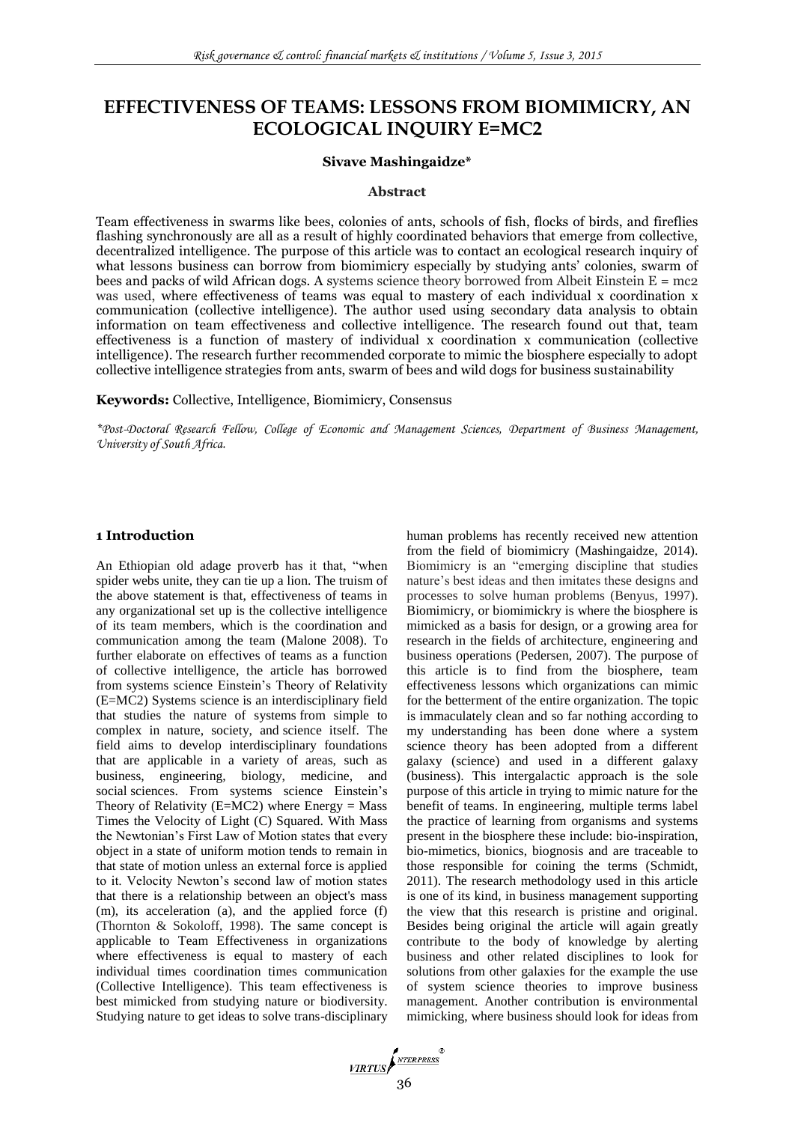# **EFFECTIVENESS OF TEAMS: LESSONS FROM BIOMIMICRY, AN ECOLOGICAL INQUIRY E=MC2**

#### **Sivave Mashingaidze\***

#### **Abstract**

Team effectiveness in swarms like bees, colonies of ants, schools of fish, flocks of birds, and fireflies flashing synchronously are all as a result of highly coordinated behaviors that emerge from collective, decentralized intelligence. The purpose of this article was to contact an ecological research inquiry of what lessons business can borrow from biomimicry especially by studying ants' colonies, swarm of bees and packs of wild African dogs. A systems science theory borrowed from Albeit Einstein  $E = mc2$ was used, where effectiveness of teams was equal to mastery of each individual x coordination x communication (collective intelligence). The author used using secondary data analysis to obtain information on team effectiveness and collective intelligence. The research found out that, team effectiveness is a function of mastery of individual  $x$  coordination  $x$  communication (collective intelligence). The research further recommended corporate to mimic the biosphere especially to adopt collective intelligence strategies from ants, swarm of bees and wild dogs for business sustainability

**Keywords:** Collective, Intelligence, Biomimicry, Consensus

*\*Post-Doctoral Research Fellow, College of Economic and Management Sciences, Department of Business Management, University of South Africa.*

### **1 Introduction**

An Ethiopian old adage proverb has it that, "when spider webs unite, they can tie up a lion. The truism of the above statement is that, effectiveness of teams in any organizational set up is the collective intelligence of its team members, which is the coordination and communication among the team (Malone 2008). To further elaborate on effectives of teams as a function of collective intelligence, the article has borrowed from systems science Einstein's Theory of Relativity (E=MC2) Systems science is an interdisciplinary field that studies the nature of systems from simple to complex in nature, society, and science itself. The field aims to develop interdisciplinary foundations that are applicable in a variety of areas, such as business, engineering, biology, medicine, and social sciences. From systems science Einstein's Theory of Relativity ( $E=MC2$ ) where Energy = Mass Times the Velocity of Light (C) Squared. With Mass the Newtonian's First Law of Motion states that every object in a state of uniform motion tends to remain in that state of motion unless an external force is applied to it. Velocity Newton's second law of motion states that there is a relationship between an object's mass (m), its acceleration (a), and the applied force (f) (Thornton & Sokoloff, 1998). The same concept is applicable to Team Effectiveness in organizations where effectiveness is equal to mastery of each individual times coordination times communication (Collective Intelligence). This team effectiveness is best mimicked from studying nature or biodiversity. Studying nature to get ideas to solve trans-disciplinary human problems has recently received new attention from the field of biomimicry (Mashingaidze, 2014). Biomimicry is an "emerging discipline that studies nature's best ideas and then imitates these designs and processes to solve human problems (Benyus, 1997). Biomimicry, or biomimickry is where the biosphere is mimicked as a basis for design, or a growing area for research in the fields of architecture, engineering and business operations (Pedersen, 2007). The purpose of this article is to find from the biosphere, team effectiveness lessons which organizations can mimic for the betterment of the entire organization. The topic is immaculately clean and so far nothing according to my understanding has been done where a system science theory has been adopted from a different galaxy (science) and used in a different galaxy (business). This intergalactic approach is the sole purpose of this article in trying to mimic nature for the benefit of teams. In engineering, multiple terms label the practice of learning from organisms and systems present in the biosphere these include: bio-inspiration, bio-mimetics, bionics, biognosis and are traceable to those responsible for coining the terms (Schmidt, 2011). The research methodology used in this article is one of its kind, in business management supporting the view that this research is pristine and original. Besides being original the article will again greatly contribute to the body of knowledge by alerting business and other related disciplines to look for solutions from other galaxies for the example the use of system science theories to improve business management. Another contribution is environmental mimicking, where business should look for ideas from

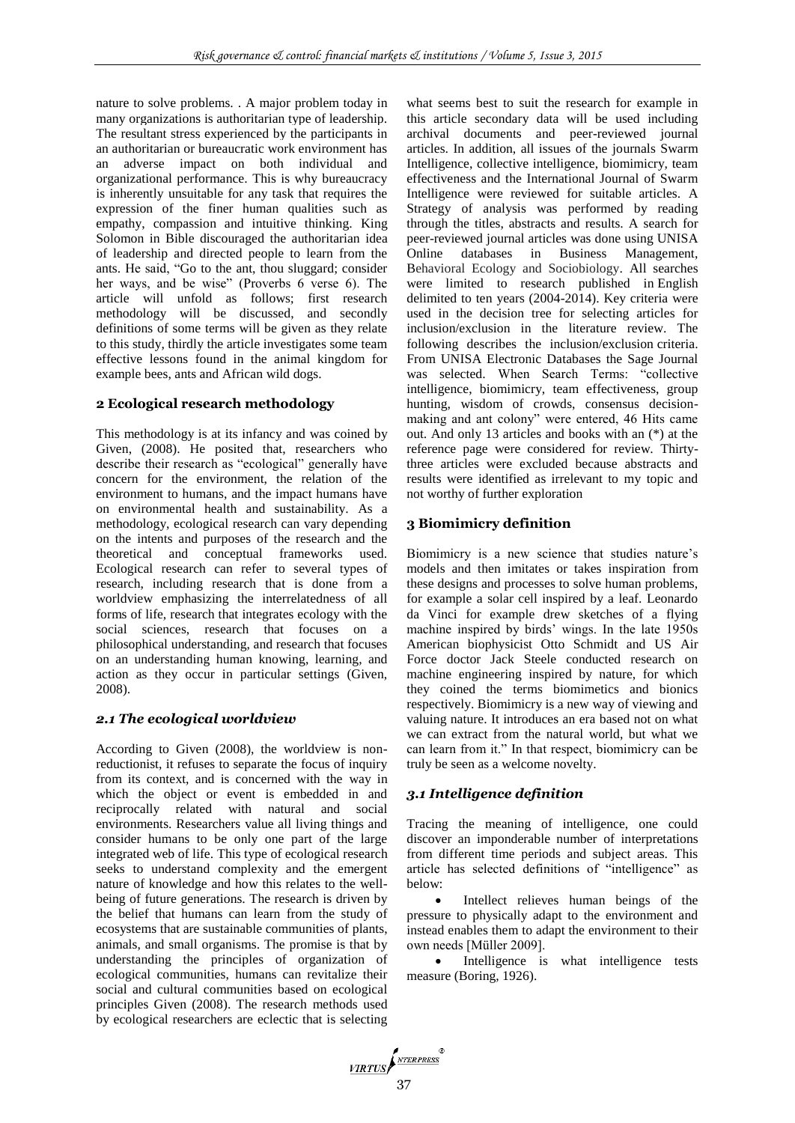nature to solve problems. . A major problem today in many organizations is authoritarian type of leadership. The resultant stress experienced by the participants in an authoritarian or bureaucratic work environment has an adverse impact on both individual and organizational performance. This is why bureaucracy is inherently unsuitable for any task that requires the expression of the finer human qualities such as empathy, compassion and intuitive thinking. King Solomon in Bible discouraged the authoritarian idea of leadership and directed people to learn from the ants. He said, "Go to the ant, thou sluggard; consider her ways, and be wise" (Proverbs 6 verse 6). The article will unfold as follows; first research methodology will be discussed, and secondly definitions of some terms will be given as they relate to this study, thirdly the article investigates some team effective lessons found in the animal kingdom for example bees, ants and African wild dogs.

### **2 Ecological research methodology**

This methodology is at its infancy and was coined by Given, (2008). He posited that, researchers who describe their research as "ecological" generally have concern for the environment, the relation of the environment to humans, and the impact humans have on environmental health and sustainability. As a methodology, ecological research can vary depending on the intents and purposes of the research and the theoretical and conceptual frameworks used. Ecological research can refer to several types of research, including research that is done from a worldview emphasizing the interrelatedness of all forms of life, research that integrates ecology with the social sciences, research that focuses on a philosophical understanding, and research that focuses on an understanding human knowing, learning, and action as they occur in particular settings (Given, 2008).

#### *2.1 The ecological worldview*

According to Given (2008), the worldview is nonreductionist, it refuses to separate the focus of inquiry from its context, and is concerned with the way in which the object or event is embedded in and reciprocally related with natural and social environments. Researchers value all living things and consider humans to be only one part of the large integrated web of life. This type of ecological research seeks to understand complexity and the emergent nature of knowledge and how this relates to the wellbeing of future generations. The research is driven by the belief that humans can learn from the study of ecosystems that are sustainable communities of plants, animals, and small organisms. The promise is that by understanding the principles of organization of ecological communities, humans can revitalize their social and cultural communities based on ecological principles Given (2008). The research methods used by ecological researchers are eclectic that is selecting

what seems best to suit the research for example in this article secondary data will be used including archival documents and peer-reviewed journal articles. In addition, all issues of the journals Swarm Intelligence, collective intelligence, biomimicry, team effectiveness and the International Journal of Swarm Intelligence were reviewed for suitable articles. A Strategy of analysis was performed by reading through the titles, abstracts and results. A search for peer-reviewed journal articles was done using UNISA Online databases in Business Management, Behavioral Ecology and Sociobiology. All searches were limited to research published in English delimited to ten years (2004-2014). Key criteria were used in the decision tree for selecting articles for inclusion/exclusion in the literature review. The following describes the inclusion/exclusion criteria. From UNISA Electronic Databases the Sage Journal was selected. When Search Terms: "collective intelligence, biomimicry, team effectiveness, group hunting, wisdom of crowds, consensus decisionmaking and ant colony" were entered, 46 Hits came out. And only 13 articles and books with an (\*) at the reference page were considered for review. Thirtythree articles were excluded because abstracts and results were identified as irrelevant to my topic and not worthy of further exploration

#### **3 Biomimicry definition**

Biomimicry is a new science that studies nature's models and then imitates or takes inspiration from these designs and processes to solve human problems, for example a solar cell inspired by a leaf. Leonardo da Vinci for example drew sketches of a flying machine inspired by birds' wings. In the late 1950s American biophysicist Otto Schmidt and US Air Force doctor Jack Steele conducted research on machine engineering inspired by nature, for which they coined the terms biomimetics and bionics respectively. Biomimicry is a new way of viewing and valuing nature. It introduces an era based not on what we can extract from the natural world, but what we can learn from it." In that respect, biomimicry can be truly be seen as a welcome novelty.

### *3.1 Intelligence definition*

Tracing the meaning of intelligence, one could discover an imponderable number of interpretations from different time periods and subject areas. This article has selected definitions of "intelligence" as below:

 Intellect relieves human beings of the pressure to physically adapt to the environment and instead enables them to adapt the environment to their own needs [Müller 2009].

 Intelligence is what intelligence tests measure (Boring, 1926).

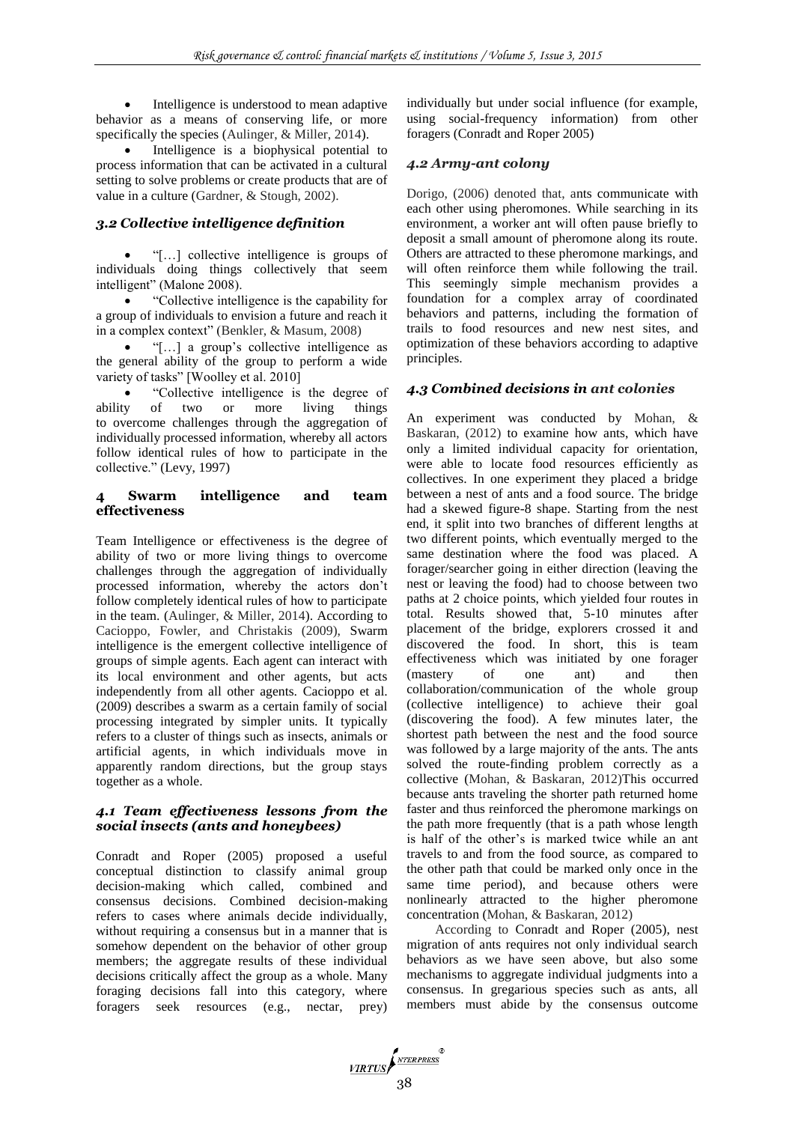Intelligence is understood to mean adaptive behavior as a means of conserving life, or more specifically the species (Aulinger, & Miller, 2014).

 Intelligence is a biophysical potential to process information that can be activated in a cultural setting to solve problems or create products that are of value in a culture (Gardner, & Stough, 2002).

# *3.2 Collective intelligence definition*

 "[…] collective intelligence is groups of individuals doing things collectively that seem intelligent" (Malone 2008).

 "Collective intelligence is the capability for a group of individuals to envision a future and reach it in a complex context" (Benkler, & Masum, 2008)

 "[…] a group's collective intelligence as the general ability of the group to perform a wide variety of tasks" [Woolley et al. 2010]

 "Collective intelligence is the degree of ability of two or more living things to overcome challenges through the aggregation of individually processed information, whereby all actors follow identical rules of how to participate in the collective." (Levy, 1997)

### **6 Swarm intelligence and team effectiveness**

Team Intelligence or effectiveness is the degree of ability of two or more living things to overcome challenges through the aggregation of individually processed information, whereby the actors don't follow completely identical rules of how to participate in the team. (Aulinger, & Miller, 2014). According to Cacioppo, Fowler, and Christakis (2009), Swarm intelligence is the emergent collective intelligence of groups of simple agents. Each agent can interact with its local environment and other agents, but acts independently from all other agents. Cacioppo et al. (2009) describes a swarm as a certain family of social processing integrated by simpler units. It typically refers to a cluster of things such as insects, animals or artificial agents, in which individuals move in apparently random directions, but the group stays together as a whole.

## *4.1 Team effectiveness lessons from the social insects (ants and honeybees)*

Conradt and Roper (2005) proposed a useful conceptual distinction to classify animal group decision-making which called, combined and consensus decisions. Combined decision-making refers to cases where animals decide individually, without requiring a consensus but in a manner that is somehow dependent on the behavior of other group members; the aggregate results of these individual decisions critically affect the group as a whole. Many foraging decisions fall into this category, where foragers seek resources (e.g., nectar, prey) individually but under social influence (for example, using social-frequency information) from other foragers (Conradt and Roper 2005)

# *4.2 Army-ant colony*

Dorigo, (2006) denoted that, ants communicate with each other using pheromones. While searching in its environment, a worker ant will often pause briefly to deposit a small amount of pheromone along its route. Others are attracted to these pheromone markings, and will often reinforce them while following the trail. This seemingly simple mechanism provides a foundation for a complex array of coordinated behaviors and patterns, including the formation of trails to food resources and new nest sites, and optimization of these behaviors according to adaptive principles.

# *4.3 Combined decisions in ant colonies*

An experiment was conducted by Mohan, & Baskaran, (2012) to examine how ants, which have only a limited individual capacity for orientation, were able to locate food resources efficiently as collectives. In one experiment they placed a bridge between a nest of ants and a food source. The bridge had a skewed figure-8 shape. Starting from the nest end, it split into two branches of different lengths at two different points, which eventually merged to the same destination where the food was placed. A forager/searcher going in either direction (leaving the nest or leaving the food) had to choose between two paths at 2 choice points, which yielded four routes in total. Results showed that, 5-10 minutes after placement of the bridge, explorers crossed it and discovered the food. In short, this is team effectiveness which was initiated by one forager (mastery of one ant) and then collaboration/communication of the whole group (collective intelligence) to achieve their goal (discovering the food). A few minutes later, the shortest path between the nest and the food source was followed by a large majority of the ants. The ants solved the route-finding problem correctly as a collective (Mohan, & Baskaran, 2012)This occurred because ants traveling the shorter path returned home faster and thus reinforced the pheromone markings on the path more frequently (that is a path whose length is half of the other's is marked twice while an ant travels to and from the food source, as compared to the other path that could be marked only once in the same time period), and because others were nonlinearly attracted to the higher pheromone concentration (Mohan, & Baskaran, 2012)

According to Conradt and Roper (2005), nest migration of ants requires not only individual search behaviors as we have seen above, but also some mechanisms to aggregate individual judgments into a consensus. In gregarious species such as ants, all members must abide by the consensus outcome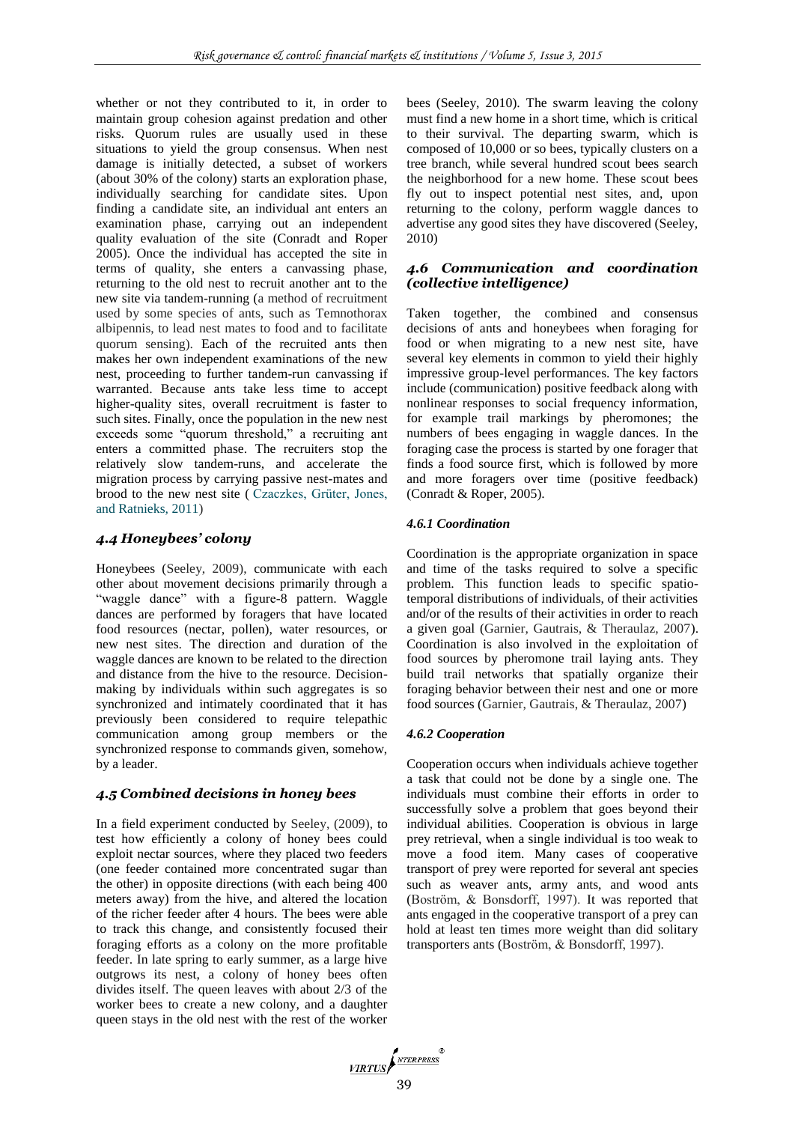whether or not they contributed to it, in order to maintain group cohesion against predation and other risks. Quorum rules are usually used in these situations to yield the group consensus. When nest damage is initially detected, a subset of workers (about 30% of the colony) starts an exploration phase, individually searching for candidate sites. Upon finding a candidate site, an individual ant enters an examination phase, carrying out an independent quality evaluation of the site (Conradt and Roper 2005). Once the individual has accepted the site in terms of quality, she enters a canvassing phase, returning to the old nest to recruit another ant to the new site via tandem-running (a method of recruitment used by some species of ants, such as Temnothorax albipennis, to lead nest mates to food and to facilitate quorum sensing). Each of the recruited ants then makes her own independent examinations of the new nest, proceeding to further tandem-run canvassing if warranted. Because ants take less time to accept higher-quality sites, overall recruitment is faster to such sites. Finally, once the population in the new nest exceeds some "quorum threshold," a recruiting ant enters a committed phase. The recruiters stop the relatively slow tandem-runs, and accelerate the migration process by carrying passive nest-mates and brood to the new nest site ( Czaczkes, Grüter, Jones, and Ratnieks, 2011)

### *4.4 Honeybees' colony*

Honeybees (Seeley, 2009), communicate with each other about movement decisions primarily through a "waggle dance" with a figure-8 pattern. Waggle dances are performed by foragers that have located food resources (nectar, pollen), water resources, or new nest sites. The direction and duration of the waggle dances are known to be related to the direction and distance from the hive to the resource. Decisionmaking by individuals within such aggregates is so synchronized and intimately coordinated that it has previously been considered to require telepathic communication among group members or the synchronized response to commands given, somehow, by a leader.

### *4.5 Combined decisions in honey bees*

In a field experiment conducted by Seeley, (2009), to test how efficiently a colony of honey bees could exploit nectar sources, where they placed two feeders (one feeder contained more concentrated sugar than the other) in opposite directions (with each being 400 meters away) from the hive, and altered the location of the richer feeder after 4 hours. The bees were able to track this change, and consistently focused their foraging efforts as a colony on the more profitable feeder. In late spring to early summer, as a large hive outgrows its nest, a colony of honey bees often divides itself. The queen leaves with about 2/3 of the worker bees to create a new colony, and a daughter queen stays in the old nest with the rest of the worker bees (Seeley, 2010). The swarm leaving the colony must find a new home in a short time, which is critical to their survival. The departing swarm, which is composed of 10,000 or so bees, typically clusters on a tree branch, while several hundred scout bees search the neighborhood for a new home. These scout bees fly out to inspect potential nest sites, and, upon returning to the colony, perform waggle dances to advertise any good sites they have discovered (Seeley, 2010)

### *4.6 Communication and coordination (collective intelligence)*

Taken together, the combined and consensus decisions of ants and honeybees when foraging for food or when migrating to a new nest site, have several key elements in common to yield their highly impressive group-level performances. The key factors include (communication) positive feedback along with nonlinear responses to social frequency information, for example trail markings by pheromones; the numbers of bees engaging in waggle dances. In the foraging case the process is started by one forager that finds a food source first, which is followed by more and more foragers over time (positive feedback) (Conradt & Roper, 2005).

#### *4.6.1 Coordination*

Coordination is the appropriate organization in space and time of the tasks required to solve a specific problem. This function leads to specific spatiotemporal distributions of individuals, of their activities and/or of the results of their activities in order to reach a given goal (Garnier, Gautrais, & Theraulaz, 2007). Coordination is also involved in the exploitation of food sources by pheromone trail laying ants. They build trail networks that spatially organize their foraging behavior between their nest and one or more food sources (Garnier, Gautrais, & Theraulaz, 2007)

#### *4.6.2 Cooperation*

Cooperation occurs when individuals achieve together a task that could not be done by a single one. The individuals must combine their efforts in order to successfully solve a problem that goes beyond their individual abilities. Cooperation is obvious in large prey retrieval, when a single individual is too weak to move a food item. Many cases of cooperative transport of prey were reported for several ant species such as weaver ants, army ants, and wood ants (Boström, & Bonsdorff, 1997). It was reported that ants engaged in the cooperative transport of a prey can hold at least ten times more weight than did solitary transporters ants (Boström, & Bonsdorff, 1997).

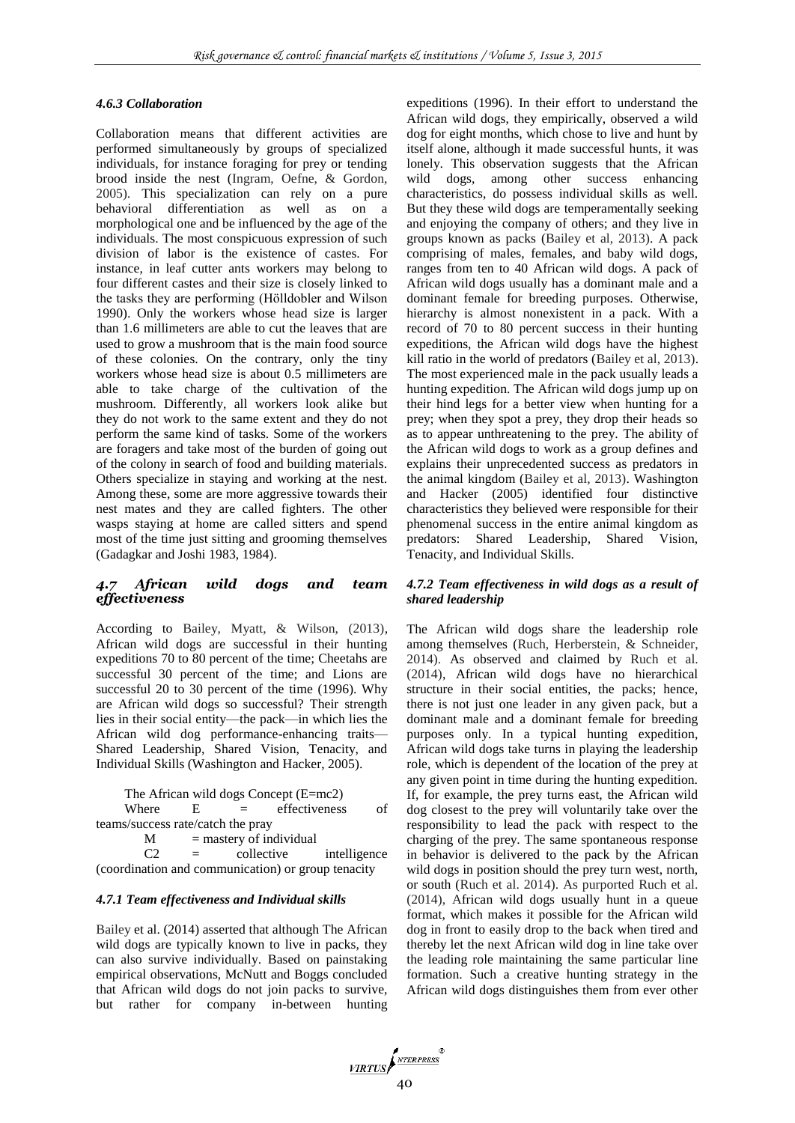#### *4.6.3 Collaboration*

Collaboration means that different activities are performed simultaneously by groups of specialized individuals, for instance foraging for prey or tending brood inside the nest (Ingram, Oefne, & Gordon, 2005). This specialization can rely on a pure behavioral differentiation as well as on a morphological one and be influenced by the age of the individuals. The most conspicuous expression of such division of labor is the existence of castes. For instance, in leaf cutter ants workers may belong to four different castes and their size is closely linked to the tasks they are performing (Hölldobler and Wilson 1990). Only the workers whose head size is larger than 1.6 millimeters are able to cut the leaves that are used to grow a mushroom that is the main food source of these colonies. On the contrary, only the tiny workers whose head size is about 0.5 millimeters are able to take charge of the cultivation of the mushroom. Differently, all workers look alike but they do not work to the same extent and they do not perform the same kind of tasks. Some of the workers are foragers and take most of the burden of going out of the colony in search of food and building materials. Others specialize in staying and working at the nest. Among these, some are more aggressive towards their nest mates and they are called fighters. The other wasps staying at home are called sitters and spend most of the time just sitting and grooming themselves (Gadagkar and Joshi 1983, 1984).

### *4.7 African wild dogs and team effectiveness*

According to Bailey, Myatt, & Wilson, (2013), African wild dogs are successful in their hunting expeditions 70 to 80 percent of the time; Cheetahs are successful 30 percent of the time; and Lions are successful 20 to 30 percent of the time (1996). Why are African wild dogs so successful? Their strength lies in their social entity—the pack—in which lies the African wild dog performance-enhancing traits— Shared Leadership, Shared Vision, Tenacity, and Individual Skills (Washington and Hacker, 2005).

The African wild dogs Concept (E=mc2) Where  $E =$  effectiveness of teams/success rate/catch the pray

M = mastery of individual<br> $C2 =$  collective  $=$  collective intelligence (coordination and communication) or group tenacity

#### *4.7.1 Team effectiveness and Individual skills*

Bailey et al. (2014) asserted that although The African wild dogs are typically known to live in packs, they can also survive individually. Based on painstaking empirical observations, McNutt and Boggs concluded that African wild dogs do not join packs to survive, but rather for company in-between hunting expeditions (1996). In their effort to understand the African wild dogs, they empirically, observed a wild dog for eight months, which chose to live and hunt by itself alone, although it made successful hunts, it was lonely. This observation suggests that the African wild dogs, among other success enhancing characteristics, do possess individual skills as well. But they these wild dogs are temperamentally seeking and enjoying the company of others; and they live in groups known as packs (Bailey et al, 2013). A pack comprising of males, females, and baby wild dogs, ranges from ten to 40 African wild dogs. A pack of African wild dogs usually has a dominant male and a dominant female for breeding purposes. Otherwise, hierarchy is almost nonexistent in a pack. With a record of 70 to 80 percent success in their hunting expeditions, the African wild dogs have the highest kill ratio in the world of predators (Bailey et al, 2013). The most experienced male in the pack usually leads a hunting expedition. The African wild dogs jump up on their hind legs for a better view when hunting for a prey; when they spot a prey, they drop their heads so as to appear unthreatening to the prey. The ability of the African wild dogs to work as a group defines and explains their unprecedented success as predators in the animal kingdom (Bailey et al, 2013). Washington and Hacker (2005) identified four distinctive characteristics they believed were responsible for their phenomenal success in the entire animal kingdom as predators: Shared Leadership, Shared Vision, Tenacity, and Individual Skills.

#### *4.7.2 Team effectiveness in wild dogs as a result of shared leadership*

The African wild dogs share the leadership role among themselves (Ruch, Herberstein, & Schneider, 2014). As observed and claimed by Ruch et al. (2014), African wild dogs have no hierarchical structure in their social entities, the packs; hence, there is not just one leader in any given pack, but a dominant male and a dominant female for breeding purposes only. In a typical hunting expedition, African wild dogs take turns in playing the leadership role, which is dependent of the location of the prey at any given point in time during the hunting expedition. If, for example, the prey turns east, the African wild dog closest to the prey will voluntarily take over the responsibility to lead the pack with respect to the charging of the prey. The same spontaneous response in behavior is delivered to the pack by the African wild dogs in position should the prey turn west, north, or south (Ruch et al. 2014). As purported Ruch et al. (2014), African wild dogs usually hunt in a queue format, which makes it possible for the African wild dog in front to easily drop to the back when tired and thereby let the next African wild dog in line take over the leading role maintaining the same particular line formation. Such a creative hunting strategy in the African wild dogs distinguishes them from ever other

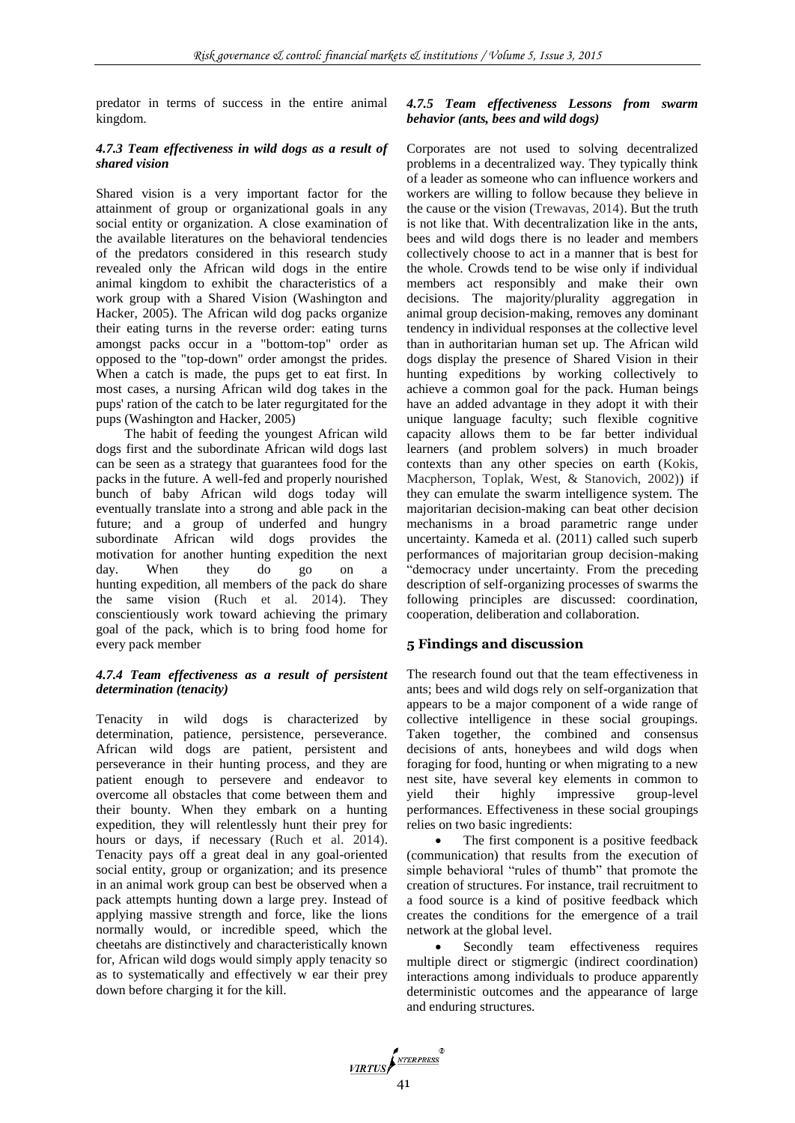predator in terms of success in the entire animal kingdom.

### *4.7.3 Team effectiveness in wild dogs as a result of shared vision*

Shared vision is a very important factor for the attainment of group or organizational goals in any social entity or organization. A close examination of the available literatures on the behavioral tendencies of the predators considered in this research study revealed only the African wild dogs in the entire animal kingdom to exhibit the characteristics of a work group with a Shared Vision (Washington and Hacker, 2005). The African wild dog packs organize their eating turns in the reverse order: eating turns amongst packs occur in a "bottom-top" order as opposed to the "top-down" order amongst the prides. When a catch is made, the pups get to eat first. In most cases, a nursing African wild dog takes in the pups' ration of the catch to be later regurgitated for the pups (Washington and Hacker, 2005)

The habit of feeding the youngest African wild dogs first and the subordinate African wild dogs last can be seen as a strategy that guarantees food for the packs in the future. A well-fed and properly nourished bunch of baby African wild dogs today will eventually translate into a strong and able pack in the future; and a group of underfed and hungry subordinate African wild dogs provides the motivation for another hunting expedition the next day. When they do go on a hunting expedition, all members of the pack do share the same vision (Ruch et al. 2014). They conscientiously work toward achieving the primary goal of the pack, which is to bring food home for every pack member

#### *4.7.4 Team effectiveness as a result of persistent determination (tenacity)*

Tenacity in wild dogs is characterized by determination, patience, persistence, perseverance. African wild dogs are patient, persistent and perseverance in their hunting process, and they are patient enough to persevere and endeavor to overcome all obstacles that come between them and their bounty. When they embark on a hunting expedition, they will relentlessly hunt their prey for hours or days, if necessary (Ruch et al. 2014). Tenacity pays off a great deal in any goal-oriented social entity, group or organization; and its presence in an animal work group can best be observed when a pack attempts hunting down a large prey. Instead of applying massive strength and force, like the lions normally would, or incredible speed, which the cheetahs are distinctively and characteristically known for, African wild dogs would simply apply tenacity so as to systematically and effectively w ear their prey down before charging it for the kill.

### *4.7.5 Team effectiveness Lessons from swarm behavior (ants, bees and wild dogs)*

Corporates are not used to solving decentralized problems in a decentralized way. They typically think of a leader as someone who can influence workers and workers are willing to follow because they believe in the cause or the vision (Trewavas, 2014). But the truth is not like that. With decentralization like in the ants, bees and wild dogs there is no leader and members collectively choose to act in a manner that is best for the whole. Crowds tend to be wise only if individual members act responsibly and make their own decisions. The majority/plurality aggregation in animal group decision-making, removes any dominant tendency in individual responses at the collective level than in authoritarian human set up. The African wild dogs display the presence of Shared Vision in their hunting expeditions by working collectively to achieve a common goal for the pack. Human beings have an added advantage in they adopt it with their unique language faculty; such flexible cognitive capacity allows them to be far better individual learners (and problem solvers) in much broader contexts than any other species on earth (Kokis, Macpherson, Toplak, West, & Stanovich, 2002)) if they can emulate the swarm intelligence system. The majoritarian decision-making can beat other decision mechanisms in a broad parametric range under uncertainty. Kameda et al. (2011) called such superb performances of majoritarian group decision-making "democracy under uncertainty. From the preceding description of self-organizing processes of swarms the following principles are discussed: coordination, cooperation, deliberation and collaboration.

# **5 Findings and discussion**

The research found out that the team effectiveness in ants; bees and wild dogs rely on self-organization that appears to be a major component of a wide range of collective intelligence in these social groupings. Taken together, the combined and consensus decisions of ants, honeybees and wild dogs when foraging for food, hunting or when migrating to a new nest site, have several key elements in common to yield their highly impressive group-level performances. Effectiveness in these social groupings relies on two basic ingredients:

 The first component is a positive feedback (communication) that results from the execution of simple behavioral "rules of thumb" that promote the creation of structures. For instance, trail recruitment to a food source is a kind of positive feedback which creates the conditions for the emergence of a trail network at the global level.

Secondly team effectiveness requires multiple direct or stigmergic (indirect coordination) interactions among individuals to produce apparently deterministic outcomes and the appearance of large and enduring structures.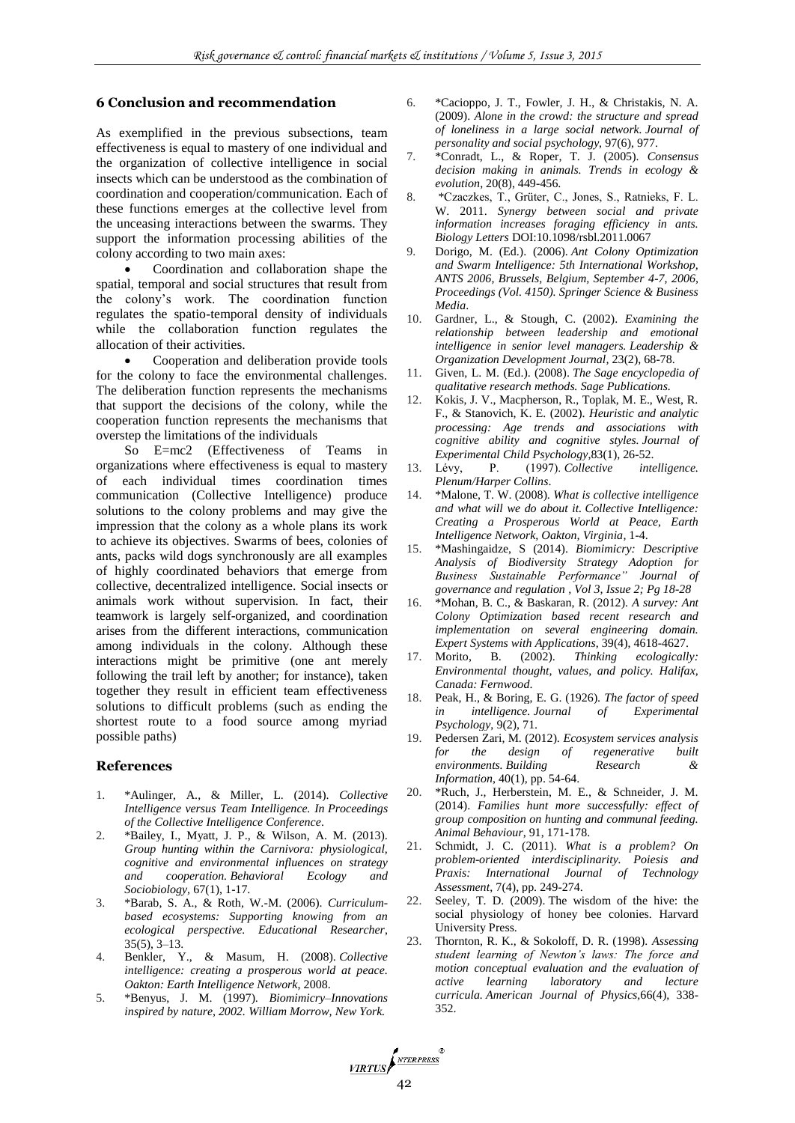#### **6 Conclusion and recommendation**

As exemplified in the previous subsections, team effectiveness is equal to mastery of one individual and the organization of collective intelligence in social insects which can be understood as the combination of coordination and cooperation/communication. Each of these functions emerges at the collective level from the unceasing interactions between the swarms. They support the information processing abilities of the colony according to two main axes:

 Coordination and collaboration shape the spatial, temporal and social structures that result from the colony's work. The coordination function regulates the spatio-temporal density of individuals while the collaboration function regulates the allocation of their activities.

 Cooperation and deliberation provide tools for the colony to face the environmental challenges. The deliberation function represents the mechanisms that support the decisions of the colony, while the cooperation function represents the mechanisms that overstep the limitations of the individuals

So E=mc2 (Effectiveness of Teams in organizations where effectiveness is equal to mastery of each individual times coordination times communication (Collective Intelligence) produce solutions to the colony problems and may give the impression that the colony as a whole plans its work to achieve its objectives. Swarms of bees, colonies of ants, packs wild dogs synchronously are all examples of highly coordinated behaviors that emerge from collective, decentralized intelligence. Social insects or animals work without supervision. In fact, their teamwork is largely self-organized, and coordination arises from the different interactions, communication among individuals in the colony. Although these interactions might be primitive (one ant merely following the trail left by another; for instance), taken together they result in efficient team effectiveness solutions to difficult problems (such as ending the shortest route to a food source among myriad possible paths)

#### **References**

- 1. \*Aulinger, A., & Miller, L. (2014). *Collective Intelligence versus Team Intelligence. In Proceedings of the Collective Intelligence Conference*.
- 2. \*Bailey, I., Myatt, J. P., & Wilson, A. M. (2013). *Group hunting within the Carnivora: physiological, cognitive and environmental influences on strategy and cooperation. Behavioral Ecology and Sociobiology,* 67(1), 1-17.
- 3. \*Barab, S. A., & Roth, W.-M. (2006). *Curriculumbased ecosystems: Supporting knowing from an ecological perspective. Educational Researcher*, 35(5), 3–13.
- 4. Benkler, Y., & Masum, H. (2008). *Collective intelligence: creating a prosperous world at peace. Oakton: Earth Intelligence Network*, 2008.
- 5. \*Benyus, J. M. (1997). *Biomimicry–Innovations inspired by nature, 2002. William Morrow, New York.*
- 6. \*Cacioppo, J. T., Fowler, J. H., & Christakis, N. A. (2009). *Alone in the crowd: the structure and spread of loneliness in a large social network. Journal of personality and social psychology*, 97(6), 977.
- 7. \*Conradt, L., & Roper, T. J. (2005). *Consensus decision making in animals. Trends in ecology & evolution*, 20(8), 449-456.
- 8. \*Czaczkes, T., Grüter, C., Jones, S., Ratnieks, F. L. W. 2011. *Synergy between social and private information increases foraging efficiency in ants. Biology Letters* DOI:10.1098/rsbl.2011.0067
- 9. Dorigo, M. (Ed.). (2006). *Ant Colony Optimization and Swarm Intelligence: 5th International Workshop, ANTS 2006, Brussels, Belgium, September 4-7, 2006, Proceedings (Vol. 4150). Springer Science & Business Media*.
- 10. Gardner, L., & Stough, C. (2002). *Examining the relationship between leadership and emotional intelligence in senior level managers. Leadership & Organization Development Journal,* 23(2), 68-78.
- 11. Given, L. M. (Ed.). (2008). *The Sage encyclopedia of qualitative research methods. Sage Publications.*
- 12. Kokis, J. V., Macpherson, R., Toplak, M. E., West, R. F., & Stanovich, K. E. (2002). *Heuristic and analytic processing: Age trends and associations with cognitive ability and cognitive styles. Journal of Experimental Child Psychology*,83(1), 26-52.
- 13. Lévy, P. (1997). *Collective intelligence. Plenum/Harper Collins*.
- 14. \*Malone, T. W. (2008). *What is collective intelligence and what will we do about it. Collective Intelligence: Creating a Prosperous World at Peace, Earth Intelligence Network, Oakton, Virginia,* 1-4.
- 15. \*Mashingaidze, S (2014). *Biomimicry: Descriptive Analysis of Biodiversity Strategy Adoption for Business Sustainable Performance" Journal of governance and regulation , Vol 3, Issue 2; Pg 18-28*
- 16. \*Mohan, B. C., & Baskaran, R. (2012). *A survey: Ant Colony Optimization based recent research and implementation on several engineering domain. Expert Systems with Applications*, 39(4), 4618-4627.
- 17. Morito, B. (2002). *Thinking ecologically: Environmental thought, values, and policy. Halifax, Canada: Fernwood*.
- 18. Peak, H., & Boring, E. G. (1926). *The factor of speed in intelligence. Journal of Experimental Psychology*, 9(2), 71.
- 19. Pedersen Zari, M. (2012). *Ecosystem services analysis for the design of regenerative built environments. Building Research & Information*, 40(1), pp. 54-64.
- 20. \*Ruch, J., Herberstein, M. E., & Schneider, J. M. (2014). *Families hunt more successfully: effect of group composition on hunting and communal feeding. Animal Behaviour*, 91, 171-178.
- 21. Schmidt, J. C. (2011). *What is a problem? On problem-oriented interdisciplinarity. Poiesis and Praxis: International Journal of Technology Assessment*, 7(4), pp. 249-274.
- 22. Seeley, T. D. (2009). The wisdom of the hive: the social physiology of honey bee colonies. Harvard University Press.
- 23. Thornton, R. K., & Sokoloff, D. R. (1998). *Assessing student learning of Newton's laws: The force and motion conceptual evaluation and the evaluation of active learning laboratory and lecture curricula. American Journal of Physics*,66(4), 338- 352.

VIRTUS ANTERPRESS